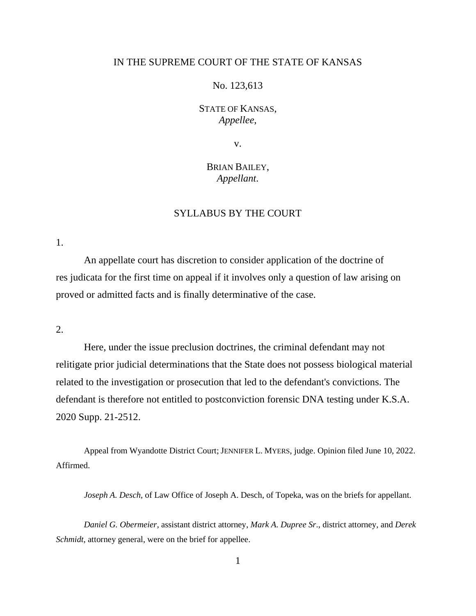## IN THE SUPREME COURT OF THE STATE OF KANSAS

## No. 123,613

STATE OF KANSAS, *Appellee*,

v.

# BRIAN BAILEY, *Appellant*.

# SYLLABUS BY THE COURT

1.

An appellate court has discretion to consider application of the doctrine of res judicata for the first time on appeal if it involves only a question of law arising on proved or admitted facts and is finally determinative of the case.

2.

Here, under the issue preclusion doctrines, the criminal defendant may not relitigate prior judicial determinations that the State does not possess biological material related to the investigation or prosecution that led to the defendant's convictions. The defendant is therefore not entitled to postconviction forensic DNA testing under K.S.A. 2020 Supp. 21-2512.

Appeal from Wyandotte District Court; JENNIFER L. MYERS, judge. Opinion filed June 10, 2022. Affirmed.

*Joseph A. Desch*, of Law Office of Joseph A. Desch, of Topeka, was on the briefs for appellant.

*Daniel G. Obermeier*, assistant district attorney, *Mark A. Dupree Sr*., district attorney, and *Derek Schmidt*, attorney general, were on the brief for appellee.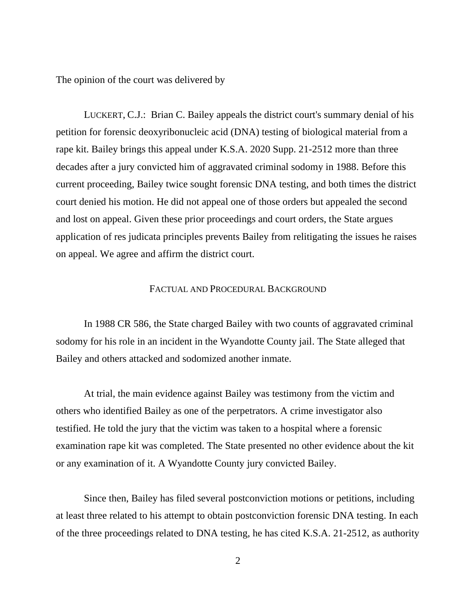The opinion of the court was delivered by

LUCKERT, C.J.: Brian C. Bailey appeals the district court's summary denial of his petition for forensic deoxyribonucleic acid (DNA) testing of biological material from a rape kit. Bailey brings this appeal under K.S.A. 2020 Supp. 21-2512 more than three decades after a jury convicted him of aggravated criminal sodomy in 1988. Before this current proceeding, Bailey twice sought forensic DNA testing, and both times the district court denied his motion. He did not appeal one of those orders but appealed the second and lost on appeal. Given these prior proceedings and court orders, the State argues application of res judicata principles prevents Bailey from relitigating the issues he raises on appeal. We agree and affirm the district court.

### FACTUAL AND PROCEDURAL BACKGROUND

In 1988 CR 586, the State charged Bailey with two counts of aggravated criminal sodomy for his role in an incident in the Wyandotte County jail. The State alleged that Bailey and others attacked and sodomized another inmate.

At trial, the main evidence against Bailey was testimony from the victim and others who identified Bailey as one of the perpetrators. A crime investigator also testified. He told the jury that the victim was taken to a hospital where a forensic examination rape kit was completed. The State presented no other evidence about the kit or any examination of it. A Wyandotte County jury convicted Bailey.

Since then, Bailey has filed several postconviction motions or petitions, including at least three related to his attempt to obtain postconviction forensic DNA testing. In each of the three proceedings related to DNA testing, he has cited K.S.A. 21-2512, as authority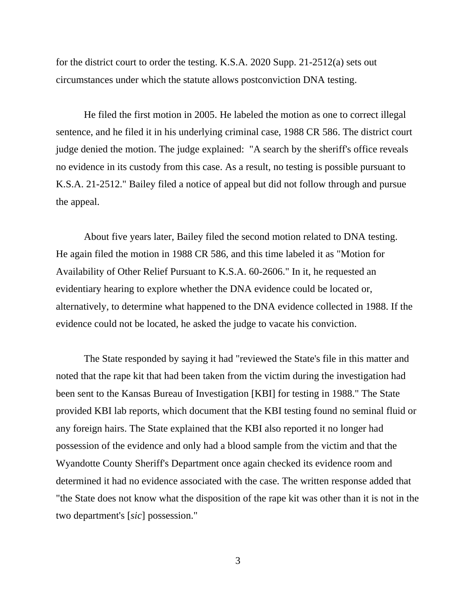for the district court to order the testing. K.S.A. 2020 Supp. 21-2512(a) sets out circumstances under which the statute allows postconviction DNA testing.

He filed the first motion in 2005. He labeled the motion as one to correct illegal sentence, and he filed it in his underlying criminal case, 1988 CR 586. The district court judge denied the motion. The judge explained: "A search by the sheriff's office reveals no evidence in its custody from this case. As a result, no testing is possible pursuant to K.S.A. 21-2512." Bailey filed a notice of appeal but did not follow through and pursue the appeal.

About five years later, Bailey filed the second motion related to DNA testing. He again filed the motion in 1988 CR 586, and this time labeled it as "Motion for Availability of Other Relief Pursuant to K.S.A. 60-2606." In it, he requested an evidentiary hearing to explore whether the DNA evidence could be located or, alternatively, to determine what happened to the DNA evidence collected in 1988. If the evidence could not be located, he asked the judge to vacate his conviction.

The State responded by saying it had "reviewed the State's file in this matter and noted that the rape kit that had been taken from the victim during the investigation had been sent to the Kansas Bureau of Investigation [KBI] for testing in 1988." The State provided KBI lab reports, which document that the KBI testing found no seminal fluid or any foreign hairs. The State explained that the KBI also reported it no longer had possession of the evidence and only had a blood sample from the victim and that the Wyandotte County Sheriff's Department once again checked its evidence room and determined it had no evidence associated with the case. The written response added that "the State does not know what the disposition of the rape kit was other than it is not in the two department's [*sic*] possession."

3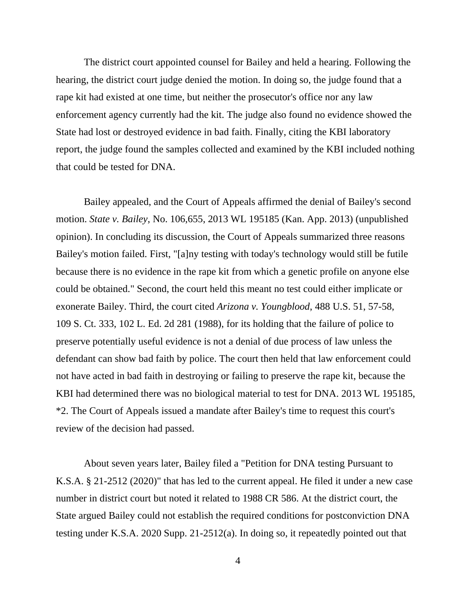The district court appointed counsel for Bailey and held a hearing. Following the hearing, the district court judge denied the motion. In doing so, the judge found that a rape kit had existed at one time, but neither the prosecutor's office nor any law enforcement agency currently had the kit. The judge also found no evidence showed the State had lost or destroyed evidence in bad faith. Finally, citing the KBI laboratory report, the judge found the samples collected and examined by the KBI included nothing that could be tested for DNA.

Bailey appealed, and the Court of Appeals affirmed the denial of Bailey's second motion. *State v. Bailey*, No. 106,655, 2013 WL 195185 (Kan. App. 2013) (unpublished opinion). In concluding its discussion, the Court of Appeals summarized three reasons Bailey's motion failed. First, "[a]ny testing with today's technology would still be futile because there is no evidence in the rape kit from which a genetic profile on anyone else could be obtained." Second, the court held this meant no test could either implicate or exonerate Bailey. Third, the court cited *Arizona v. Youngblood*, 488 U.S. 51, 57-58, 109 S. Ct. 333, 102 L. Ed. 2d 281 (1988), for its holding that the failure of police to preserve potentially useful evidence is not a denial of due process of law unless the defendant can show bad faith by police. The court then held that law enforcement could not have acted in bad faith in destroying or failing to preserve the rape kit, because the KBI had determined there was no biological material to test for DNA. 2013 WL 195185, \*2. The Court of Appeals issued a mandate after Bailey's time to request this court's review of the decision had passed.

About seven years later, Bailey filed a "Petition for DNA testing Pursuant to K.S.A. § 21-2512 (2020)" that has led to the current appeal. He filed it under a new case number in district court but noted it related to 1988 CR 586. At the district court, the State argued Bailey could not establish the required conditions for postconviction DNA testing under K.S.A. 2020 Supp. 21-2512(a). In doing so, it repeatedly pointed out that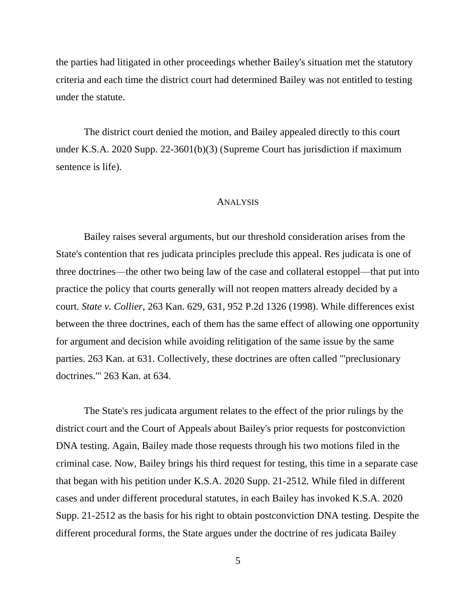the parties had litigated in other proceedings whether Bailey's situation met the statutory criteria and each time the district court had determined Bailey was not entitled to testing under the statute.

The district court denied the motion, and Bailey appealed directly to this court under K.S.A. 2020 Supp. 22-3601(b)(3) (Supreme Court has jurisdiction if maximum sentence is life).

## ANALYSIS

Bailey raises several arguments, but our threshold consideration arises from the State's contention that res judicata principles preclude this appeal. Res judicata is one of three doctrines—the other two being law of the case and collateral estoppel—that put into practice the policy that courts generally will not reopen matters already decided by a court. *State v. Collier*, 263 Kan. 629, 631, 952 P.2d 1326 (1998). While differences exist between the three doctrines, each of them has the same effect of allowing one opportunity for argument and decision while avoiding relitigation of the same issue by the same parties. 263 Kan. at 631. Collectively, these doctrines are often called "'preclusionary doctrines.'" 263 Kan. at 634.

The State's res judicata argument relates to the effect of the prior rulings by the district court and the Court of Appeals about Bailey's prior requests for postconviction DNA testing. Again, Bailey made those requests through his two motions filed in the criminal case. Now, Bailey brings his third request for testing, this time in a separate case that began with his petition under K.S.A. 2020 Supp. 21-2512. While filed in different cases and under different procedural statutes, in each Bailey has invoked K.S.A. 2020 Supp. 21-2512 as the basis for his right to obtain postconviction DNA testing. Despite the different procedural forms, the State argues under the doctrine of res judicata Bailey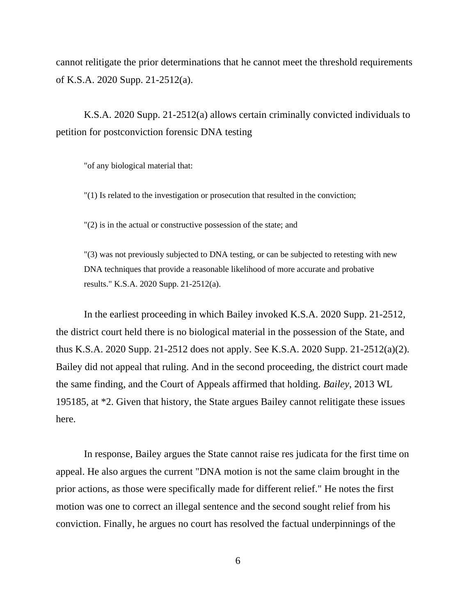cannot relitigate the prior determinations that he cannot meet the threshold requirements of K.S.A. 2020 Supp. 21-2512(a).

K.S.A. 2020 Supp. 21-2512(a) allows certain criminally convicted individuals to petition for postconviction forensic DNA testing

"of any biological material that:

"(1) Is related to the investigation or prosecution that resulted in the conviction;

"(2) is in the actual or constructive possession of the state; and

"(3) was not previously subjected to DNA testing, or can be subjected to retesting with new DNA techniques that provide a reasonable likelihood of more accurate and probative results." K.S.A. 2020 Supp. 21-2512(a).

In the earliest proceeding in which Bailey invoked K.S.A. 2020 Supp. 21-2512, the district court held there is no biological material in the possession of the State, and thus K.S.A. 2020 Supp. 21-2512 does not apply. See K.S.A. 2020 Supp. 21-2512(a)(2). Bailey did not appeal that ruling. And in the second proceeding, the district court made the same finding, and the Court of Appeals affirmed that holding. *Bailey*, 2013 WL 195185, at \*2. Given that history, the State argues Bailey cannot relitigate these issues here.

In response, Bailey argues the State cannot raise res judicata for the first time on appeal. He also argues the current "DNA motion is not the same claim brought in the prior actions, as those were specifically made for different relief." He notes the first motion was one to correct an illegal sentence and the second sought relief from his conviction. Finally, he argues no court has resolved the factual underpinnings of the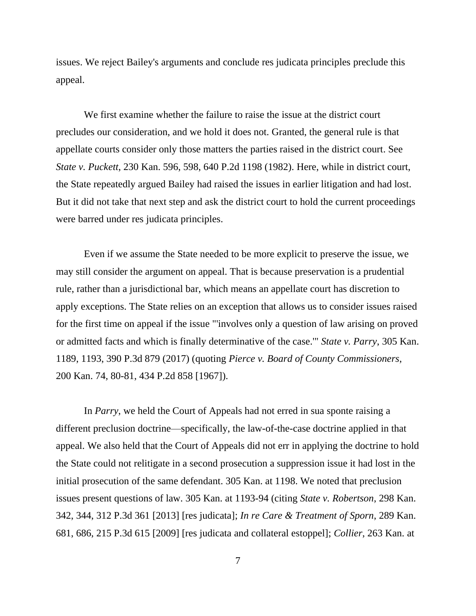issues. We reject Bailey's arguments and conclude res judicata principles preclude this appeal.

We first examine whether the failure to raise the issue at the district court precludes our consideration, and we hold it does not. Granted, the general rule is that appellate courts consider only those matters the parties raised in the district court. See *State v. Puckett*, 230 Kan. 596, 598, 640 P.2d 1198 (1982). Here, while in district court, the State repeatedly argued Bailey had raised the issues in earlier litigation and had lost. But it did not take that next step and ask the district court to hold the current proceedings were barred under res judicata principles.

Even if we assume the State needed to be more explicit to preserve the issue, we may still consider the argument on appeal. That is because preservation is a prudential rule, rather than a jurisdictional bar, which means an appellate court has discretion to apply exceptions. The State relies on an exception that allows us to consider issues raised for the first time on appeal if the issue "'involves only a question of law arising on proved or admitted facts and which is finally determinative of the case.'" *State v. Parry*, 305 Kan. 1189, 1193, 390 P.3d 879 (2017) (quoting *Pierce v. Board of County Commissioners*, 200 Kan. 74, 80-81, 434 P.2d 858 [1967]).

In *Parry*, we held the Court of Appeals had not erred in sua sponte raising a different preclusion doctrine—specifically, the law-of-the-case doctrine applied in that appeal. We also held that the Court of Appeals did not err in applying the doctrine to hold the State could not relitigate in a second prosecution a suppression issue it had lost in the initial prosecution of the same defendant. 305 Kan. at 1198. We noted that preclusion issues present questions of law. 305 Kan. at 1193-94 (citing *State v. Robertson*, 298 Kan. 342, 344, 312 P.3d 361 [2013] [res judicata]; *In re Care & Treatment of Sporn*, 289 Kan. 681, 686, 215 P.3d 615 [2009] [res judicata and collateral estoppel]; *Collier*, 263 Kan. at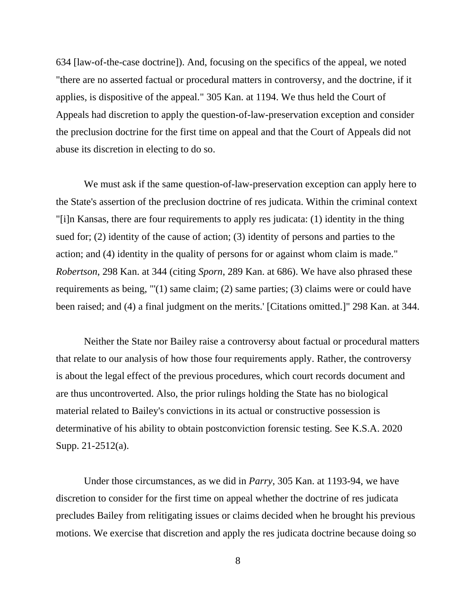634 [law-of-the-case doctrine]). And, focusing on the specifics of the appeal, we noted "there are no asserted factual or procedural matters in controversy, and the doctrine, if it applies, is dispositive of the appeal." 305 Kan. at 1194. We thus held the Court of Appeals had discretion to apply the question-of-law-preservation exception and consider the preclusion doctrine for the first time on appeal and that the Court of Appeals did not abuse its discretion in electing to do so.

We must ask if the same question-of-law-preservation exception can apply here to the State's assertion of the preclusion doctrine of res judicata. Within the criminal context "[i]n Kansas, there are four requirements to apply res judicata: (1) identity in the thing sued for; (2) identity of the cause of action; (3) identity of persons and parties to the action; and (4) identity in the quality of persons for or against whom claim is made." *Robertson*, 298 Kan. at 344 (citing *Sporn*, 289 Kan. at 686). We have also phrased these requirements as being, "'(1) same claim; (2) same parties; (3) claims were or could have been raised; and (4) a final judgment on the merits.' [Citations omitted.]" 298 Kan. at 344.

Neither the State nor Bailey raise a controversy about factual or procedural matters that relate to our analysis of how those four requirements apply. Rather, the controversy is about the legal effect of the previous procedures, which court records document and are thus uncontroverted. Also, the prior rulings holding the State has no biological material related to Bailey's convictions in its actual or constructive possession is determinative of his ability to obtain postconviction forensic testing. See K.S.A. 2020 Supp. 21-2512(a).

Under those circumstances, as we did in *Parry*, 305 Kan. at 1193-94, we have discretion to consider for the first time on appeal whether the doctrine of res judicata precludes Bailey from relitigating issues or claims decided when he brought his previous motions. We exercise that discretion and apply the res judicata doctrine because doing so

8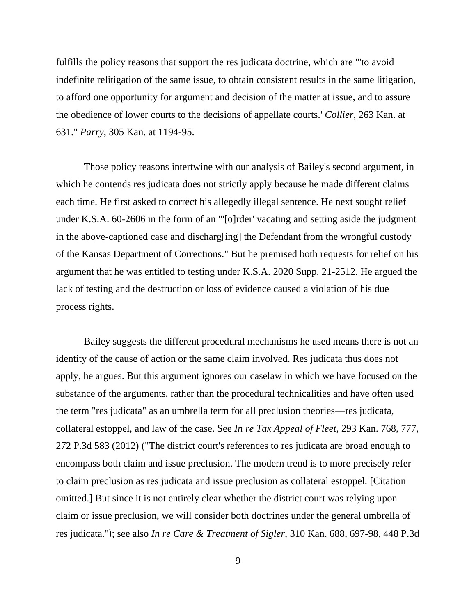fulfills the policy reasons that support the res judicata doctrine, which are "'to avoid indefinite relitigation of the same issue, to obtain consistent results in the same litigation, to afford one opportunity for argument and decision of the matter at issue, and to assure the obedience of lower courts to the decisions of appellate courts.' *Collier*, 263 Kan. at 631." *Parry*, 305 Kan. at 1194-95.

Those policy reasons intertwine with our analysis of Bailey's second argument, in which he contends res judicata does not strictly apply because he made different claims each time. He first asked to correct his allegedly illegal sentence. He next sought relief under K.S.A. 60-2606 in the form of an "'[o]rder' vacating and setting aside the judgment in the above-captioned case and discharg[ing] the Defendant from the wrongful custody of the Kansas Department of Corrections." But he premised both requests for relief on his argument that he was entitled to testing under K.S.A. 2020 Supp. 21-2512. He argued the lack of testing and the destruction or loss of evidence caused a violation of his due process rights.

Bailey suggests the different procedural mechanisms he used means there is not an identity of the cause of action or the same claim involved. Res judicata thus does not apply, he argues. But this argument ignores our caselaw in which we have focused on the substance of the arguments, rather than the procedural technicalities and have often used the term "res judicata" as an umbrella term for all preclusion theories—res judicata, collateral estoppel, and law of the case. See *In re Tax Appeal of Fleet*, 293 Kan. 768, 777, 272 P.3d 583 (2012) ("The district court's references to res judicata are broad enough to encompass both claim and issue preclusion. The modern trend is to more precisely refer to claim preclusion as res judicata and issue preclusion as collateral estoppel. [Citation omitted.] But since it is not entirely clear whether the district court was relying upon claim or issue preclusion, we will consider both doctrines under the general umbrella of res judicata."); see also *In re Care & Treatment of Sigler*, 310 Kan. 688, 697-98, 448 P.3d

9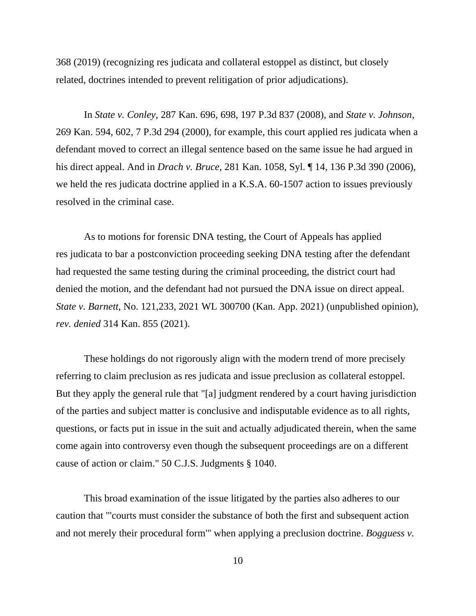368 (2019) (recognizing res judicata and collateral estoppel as distinct, but closely related, doctrines intended to prevent relitigation of prior adjudications).

In *State v. Conley*, 287 Kan. 696, 698, 197 P.3d 837 (2008), and *State v. Johnson*, 269 Kan. 594, 602, 7 P.3d 294 (2000), for example, this court applied res judicata when a defendant moved to correct an illegal sentence based on the same issue he had argued in his direct appeal. And in *Drach v. Bruce*, 281 Kan. 1058, Syl. ¶ 14, 136 P.3d 390 (2006), we held the res judicata doctrine applied in a K.S.A. 60-1507 action to issues previously resolved in the criminal case.

As to motions for forensic DNA testing, the Court of Appeals has applied res judicata to bar a postconviction proceeding seeking DNA testing after the defendant had requested the same testing during the criminal proceeding, the district court had denied the motion, and the defendant had not pursued the DNA issue on direct appeal. *State v. Barnett*, No. 121,233, 2021 WL 300700 (Kan. App. 2021) (unpublished opinion), *rev. denied* 314 Kan. 855 (2021).

These holdings do not rigorously align with the modern trend of more precisely referring to claim preclusion as res judicata and issue preclusion as collateral estoppel. But they apply the general rule that "[a] judgment rendered by a court having jurisdiction of the parties and subject matter is conclusive and indisputable evidence as to all rights, questions, or facts put in issue in the suit and actually adjudicated therein, when the same come again into controversy even though the subsequent proceedings are on a different cause of action or claim." 50 C.J.S. Judgments § 1040.

This broad examination of the issue litigated by the parties also adheres to our caution that "'courts must consider the substance of both the first and subsequent action and not merely their procedural form'" when applying a preclusion doctrine. *Bogguess v.*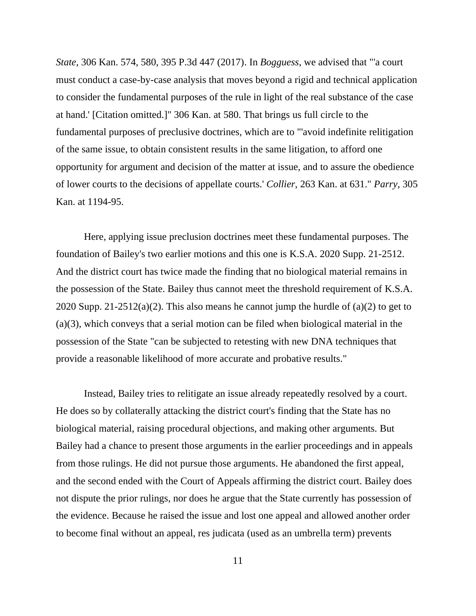*State*, 306 Kan. 574, 580, 395 P.3d 447 (2017). In *Bogguess*, we advised that "'a court must conduct a case-by-case analysis that moves beyond a rigid and technical application to consider the fundamental purposes of the rule in light of the real substance of the case at hand.' [Citation omitted.]" 306 Kan. at 580. That brings us full circle to the fundamental purposes of preclusive doctrines, which are to "'avoid indefinite relitigation of the same issue, to obtain consistent results in the same litigation, to afford one opportunity for argument and decision of the matter at issue, and to assure the obedience of lower courts to the decisions of appellate courts.' *Collier*, 263 Kan. at 631." *Parry*, 305 Kan. at 1194-95.

Here, applying issue preclusion doctrines meet these fundamental purposes. The foundation of Bailey's two earlier motions and this one is K.S.A. 2020 Supp. 21-2512. And the district court has twice made the finding that no biological material remains in the possession of the State. Bailey thus cannot meet the threshold requirement of K.S.A. 2020 Supp. 21-2512(a)(2). This also means he cannot jump the hurdle of (a)(2) to get to (a)(3), which conveys that a serial motion can be filed when biological material in the possession of the State "can be subjected to retesting with new DNA techniques that provide a reasonable likelihood of more accurate and probative results."

Instead, Bailey tries to relitigate an issue already repeatedly resolved by a court. He does so by collaterally attacking the district court's finding that the State has no biological material, raising procedural objections, and making other arguments. But Bailey had a chance to present those arguments in the earlier proceedings and in appeals from those rulings. He did not pursue those arguments. He abandoned the first appeal, and the second ended with the Court of Appeals affirming the district court. Bailey does not dispute the prior rulings, nor does he argue that the State currently has possession of the evidence. Because he raised the issue and lost one appeal and allowed another order to become final without an appeal, res judicata (used as an umbrella term) prevents